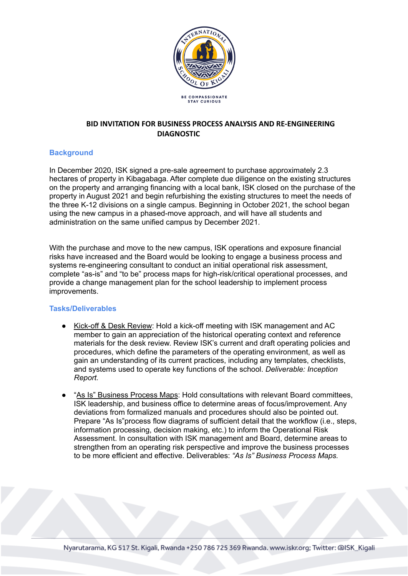

# **BID INVITATION FOR BUSINESS PROCESS ANALYSIS AND RE-ENGINEERING DIAGNOSTIC**

## **Background**

In December 2020, ISK signed a pre-sale agreement to purchase approximately 2.3 hectares of property in Kibagabaga. After complete due diligence on the existing structures on the property and arranging financing with a local bank, ISK closed on the purchase of the property in August 2021 and begin refurbishing the existing structures to meet the needs of the three K-12 divisions on a single campus. Beginning in October 2021, the school began using the new campus in a phased-move approach, and will have all students and administration on the same unified campus by December 2021.

With the purchase and move to the new campus, ISK operations and exposure financial risks have increased and the Board would be looking to engage a business process and systems re-engineering consultant to conduct an initial operational risk assessment, complete "as-is" and "to be" process maps for high-risk/critical operational processes, and provide a change management plan for the school leadership to implement process improvements.

#### **Tasks/Deliverables**

- Kick-off & Desk Review: Hold a kick-off meeting with ISK management and AC member to gain an appreciation of the historical operating context and reference materials for the desk review. Review ISK's current and draft operating policies and procedures, which define the parameters of the operating environment, as well as gain an understanding of its current practices, including any templates, checklists, and systems used to operate key functions of the school. *Deliverable: Inception Report.*
- "As Is" Business Process Maps: Hold consultations with relevant Board committees, ISK leadership, and business office to determine areas of focus/improvement. Any deviations from formalized manuals and procedures should also be pointed out. Prepare "As Is"process flow diagrams of sufficient detail that the workflow (i.e., steps, information processing, decision making, etc.) to inform the Operational Risk Assessment. In consultation with ISK management and Board, determine areas to strengthen from an operating risk perspective and improve the business processes to be more efficient and effective. Deliverables: *"As Is" Business Process Maps.*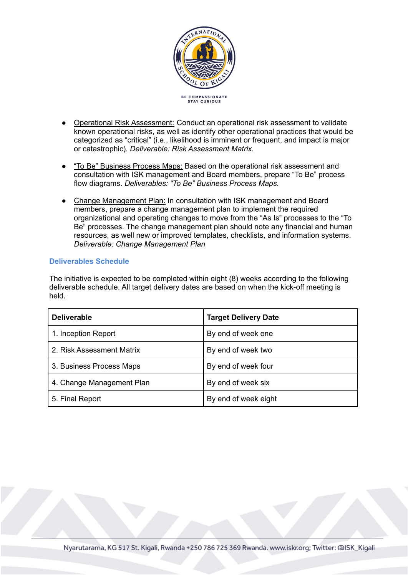

- Operational Risk Assessment: Conduct an operational risk assessment to validate known operational risks, as well as identify other operational practices that would be categorized as "critical" (i.e., likelihood is imminent or frequent, and impact is major or catastrophic). *Deliverable: Risk Assessment Matrix.*
- "To Be" Business Process Maps: Based on the operational risk assessment and consultation with ISK management and Board members, prepare "To Be" process flow diagrams. *Deliverables: "To Be" Business Process Maps.*
- Change Management Plan: In consultation with ISK management and Board members, prepare a change management plan to implement the required organizational and operating changes to move from the "As Is" processes to the "To Be" processes. The change management plan should note any financial and human resources, as well new or improved templates, checklists, and information systems. *Deliverable: Change Management Plan*

#### **Deliverables Schedule**

The initiative is expected to be completed within eight (8) weeks according to the following deliverable schedule. All target delivery dates are based on when the kick-off meeting is held.

| <b>Deliverable</b>        | <b>Target Delivery Date</b> |
|---------------------------|-----------------------------|
| 1. Inception Report       | By end of week one          |
| 2. Risk Assessment Matrix | By end of week two          |
| 3. Business Process Maps  | By end of week four         |
| 4. Change Management Plan | By end of week six          |
| 5. Final Report           | By end of week eight        |